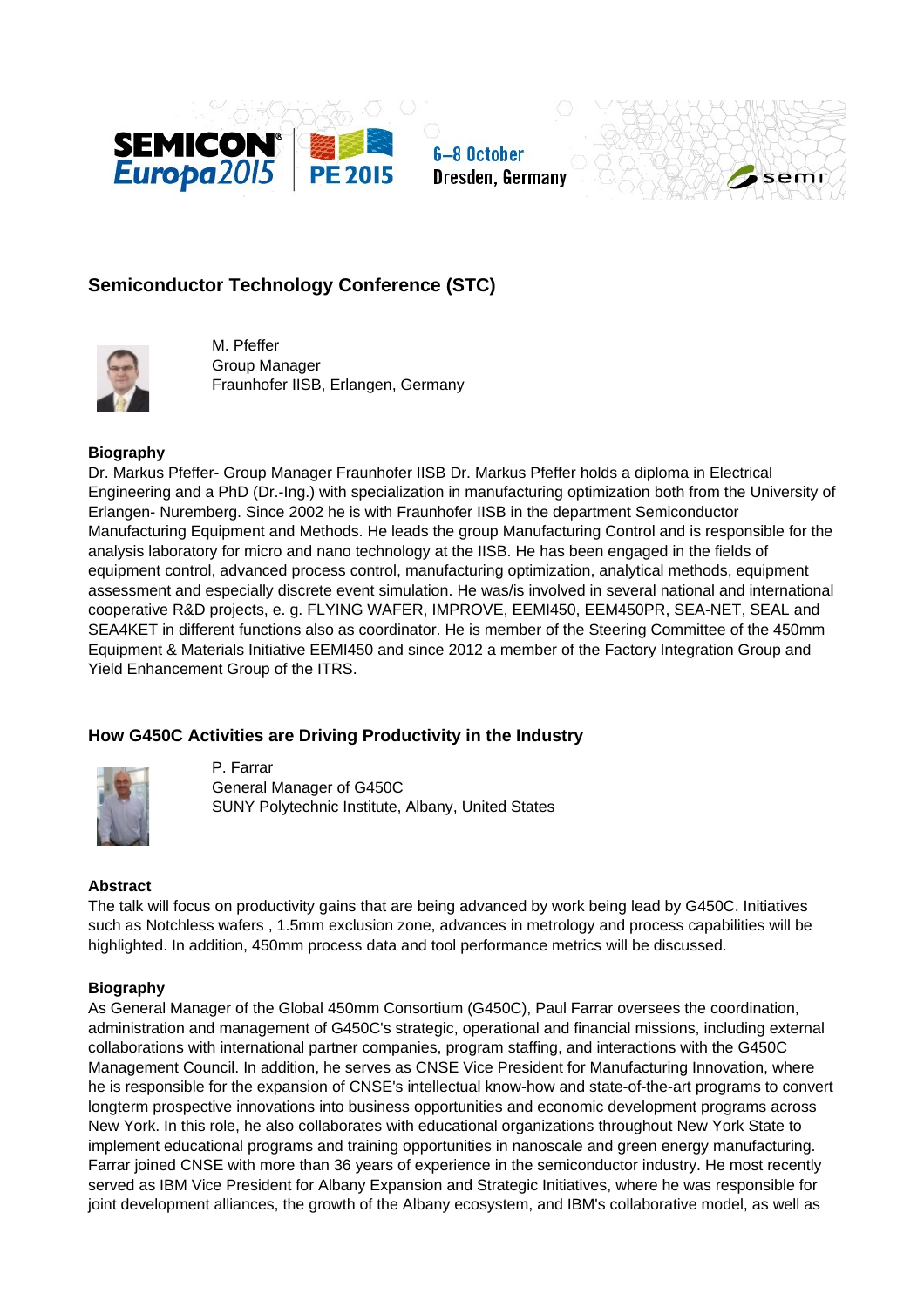





# **Semiconductor Technology Conference (STC)**



M. Pfeffer Group Manager Fraunhofer IISB, Erlangen, Germany

## **Biography**

Dr. Markus Pfeffer- Group Manager Fraunhofer IISB Dr. Markus Pfeffer holds a diploma in Electrical Engineering and a PhD (Dr.-Ing.) with specialization in manufacturing optimization both from the University of Erlangen- Nuremberg. Since 2002 he is with Fraunhofer IISB in the department Semiconductor Manufacturing Equipment and Methods. He leads the group Manufacturing Control and is responsible for the analysis laboratory for micro and nano technology at the IISB. He has been engaged in the fields of equipment control, advanced process control, manufacturing optimization, analytical methods, equipment assessment and especially discrete event simulation. He was/is involved in several national and international cooperative R&D projects, e. g. FLYING WAFER, IMPROVE, EEMI450, EEM450PR, SEA-NET, SEAL and SEA4KET in different functions also as coordinator. He is member of the Steering Committee of the 450mm Equipment & Materials Initiative EEMI450 and since 2012 a member of the Factory Integration Group and Yield Enhancement Group of the ITRS.

# **How G450C Activities are Driving Productivity in the Industry**



P. Farrar General Manager of G450C SUNY Polytechnic Institute, Albany, United States

## **Abstract**

The talk will focus on productivity gains that are being advanced by work being lead by G450C. Initiatives such as Notchless wafers , 1.5mm exclusion zone, advances in metrology and process capabilities will be highlighted. In addition, 450mm process data and tool performance metrics will be discussed.

## **Biography**

As General Manager of the Global 450mm Consortium (G450C), Paul Farrar oversees the coordination, administration and management of G450C's strategic, operational and financial missions, including external collaborations with international partner companies, program staffing, and interactions with the G450C Management Council. In addition, he serves as CNSE Vice President for Manufacturing Innovation, where he is responsible for the expansion of CNSE's intellectual know-how and state-of-the-art programs to convert longterm prospective innovations into business opportunities and economic development programs across New York. In this role, he also collaborates with educational organizations throughout New York State to implement educational programs and training opportunities in nanoscale and green energy manufacturing. Farrar joined CNSE with more than 36 years of experience in the semiconductor industry. He most recently served as IBM Vice President for Albany Expansion and Strategic Initiatives, where he was responsible for joint development alliances, the growth of the Albany ecosystem, and IBM's collaborative model, as well as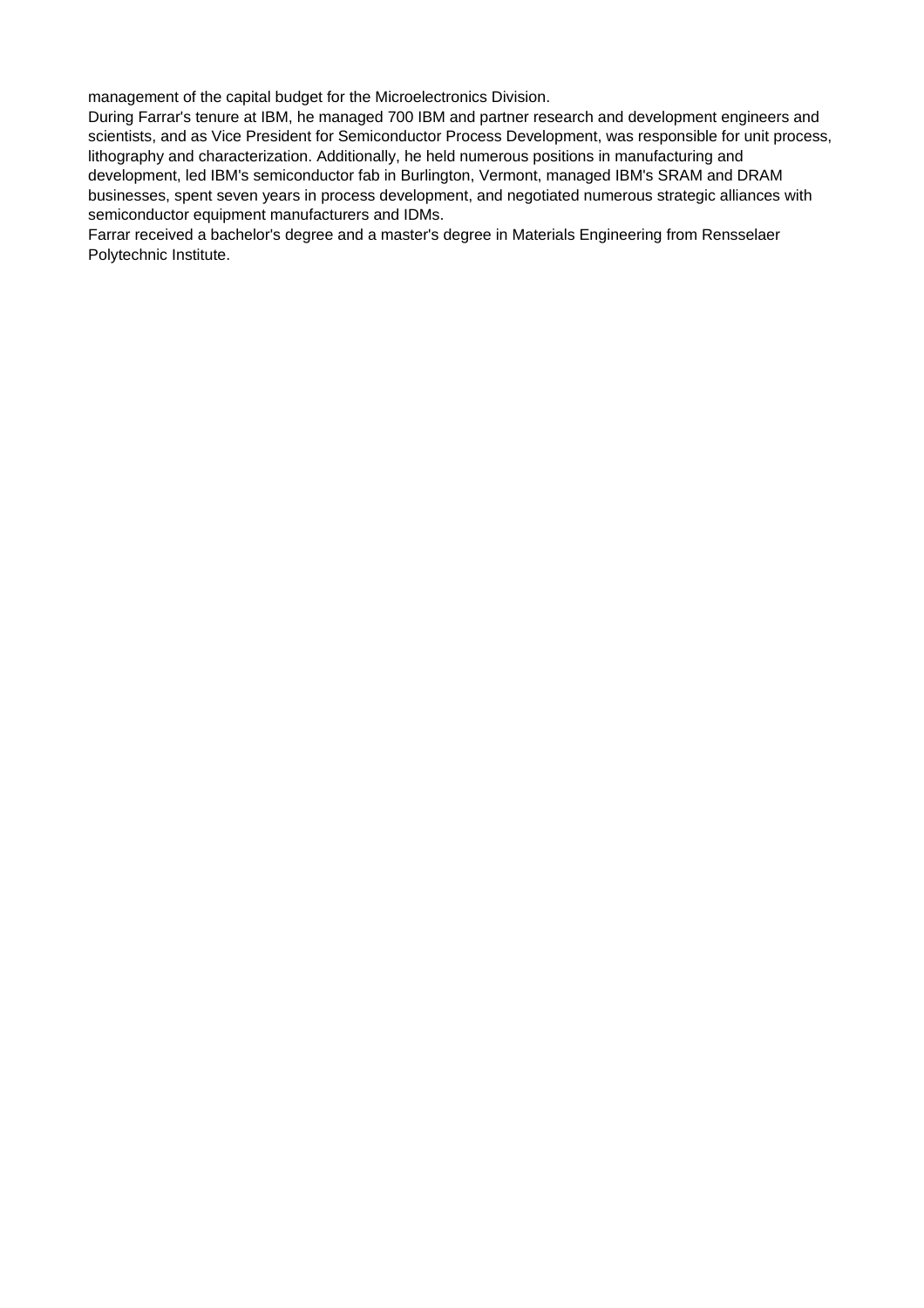management of the capital budget for the Microelectronics Division.

During Farrar's tenure at IBM, he managed 700 IBM and partner research and development engineers and scientists, and as Vice President for Semiconductor Process Development, was responsible for unit process, lithography and characterization. Additionally, he held numerous positions in manufacturing and development, led IBM's semiconductor fab in Burlington, Vermont, managed IBM's SRAM and DRAM businesses, spent seven years in process development, and negotiated numerous strategic alliances with semiconductor equipment manufacturers and IDMs.

Farrar received a bachelor's degree and a master's degree in Materials Engineering from Rensselaer Polytechnic Institute.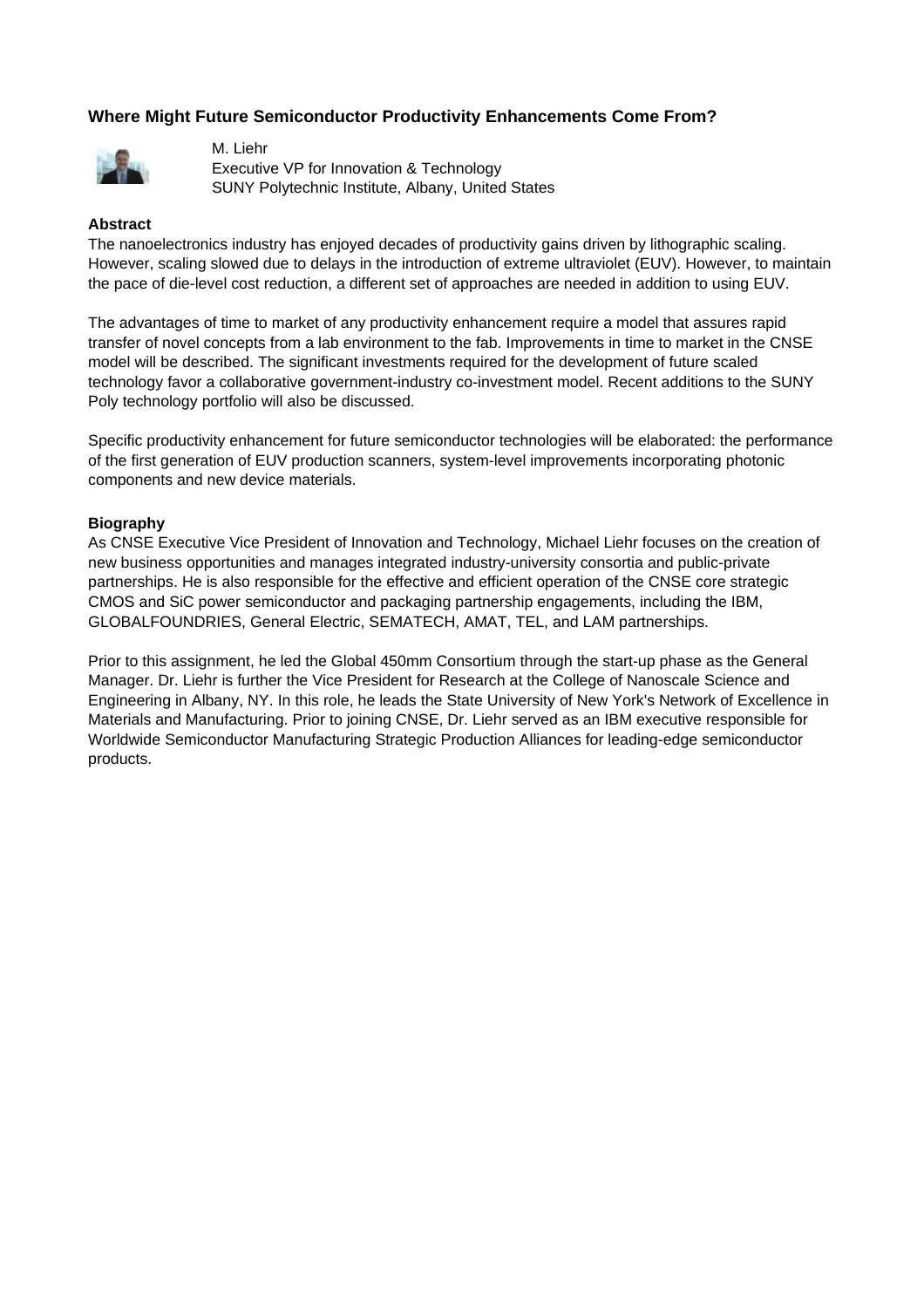# **Where Might Future Semiconductor Productivity Enhancements Come From?**



M. Liehr Executive VP for Innovation & Technology SUNY Polytechnic Institute, Albany, United States

#### **Abstract**

The nanoelectronics industry has enjoyed decades of productivity gains driven by lithographic scaling. However, scaling slowed due to delays in the introduction of extreme ultraviolet (EUV). However, to maintain the pace of die-level cost reduction, a different set of approaches are needed in addition to using EUV.

The advantages of time to market of any productivity enhancement require a model that assures rapid transfer of novel concepts from a lab environment to the fab. Improvements in time to market in the CNSE model will be described. The significant investments required for the development of future scaled technology favor a collaborative government-industry co-investment model. Recent additions to the SUNY Poly technology portfolio will also be discussed.

Specific productivity enhancement for future semiconductor technologies will be elaborated: the performance of the first generation of EUV production scanners, system-level improvements incorporating photonic components and new device materials.

#### **Biography**

As CNSE Executive Vice President of Innovation and Technology, Michael Liehr focuses on the creation of new business opportunities and manages integrated industry-university consortia and public-private partnerships. He is also responsible for the effective and efficient operation of the CNSE core strategic CMOS and SiC power semiconductor and packaging partnership engagements, including the IBM, GLOBALFOUNDRIES, General Electric, SEMATECH, AMAT, TEL, and LAM partnerships.

Prior to this assignment, he led the Global 450mm Consortium through the start-up phase as the General Manager. Dr. Liehr is further the Vice President for Research at the College of Nanoscale Science and Engineering in Albany, NY. In this role, he leads the State University of New York's Network of Excellence in Materials and Manufacturing. Prior to joining CNSE, Dr. Liehr served as an IBM executive responsible for Worldwide Semiconductor Manufacturing Strategic Production Alliances for leading-edge semiconductor products.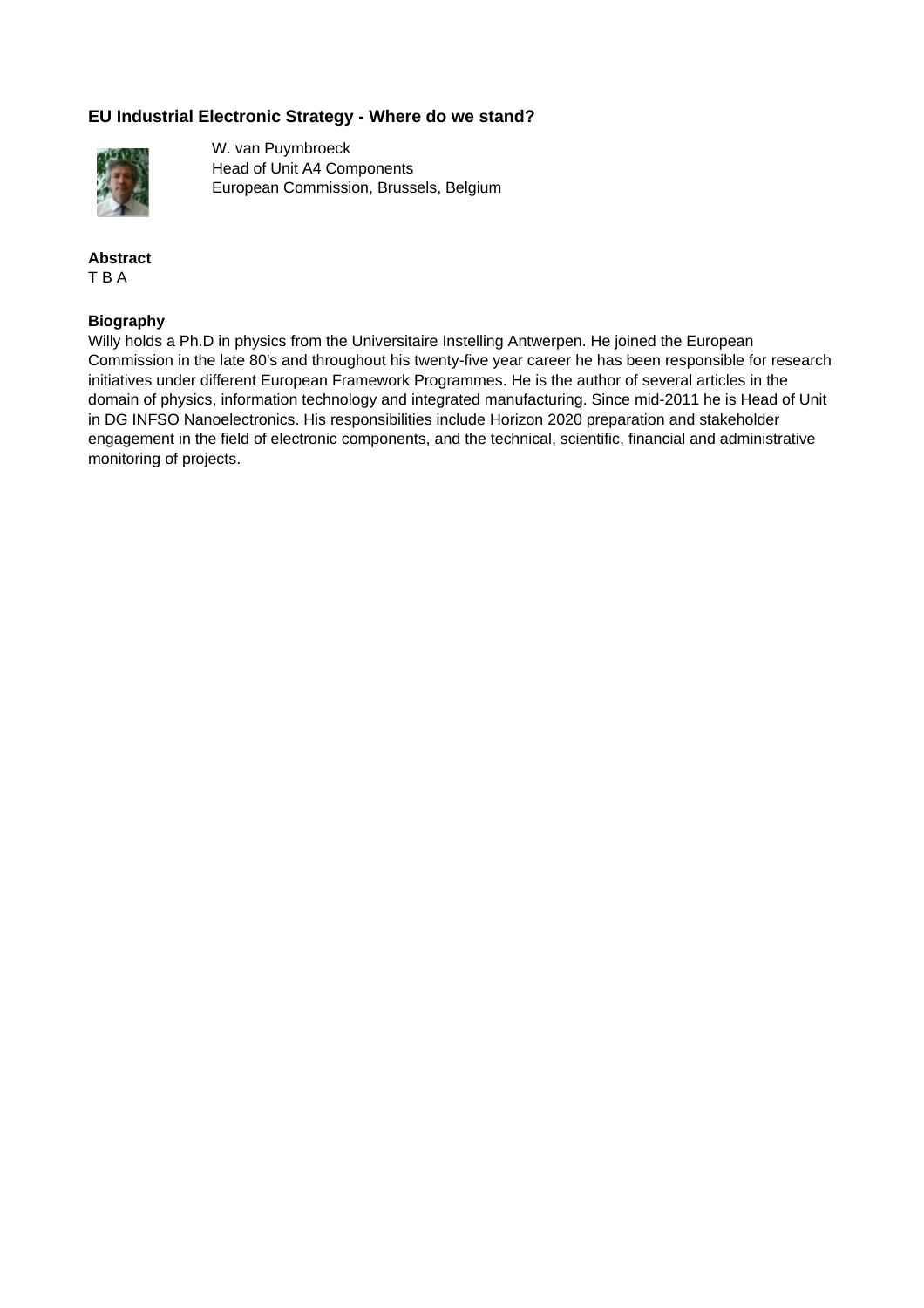# **EU Industrial Electronic Strategy - Where do we stand?**



W. van Puymbroeck Head of Unit A4 Components European Commission, Brussels, Belgium

## **Abstract** T B A

## **Biography**

Willy holds a Ph.D in physics from the Universitaire Instelling Antwerpen. He joined the European Commission in the late 80's and throughout his twenty-five year career he has been responsible for research initiatives under different European Framework Programmes. He is the author of several articles in the domain of physics, information technology and integrated manufacturing. Since mid-2011 he is Head of Unit in DG INFSO Nanoelectronics. His responsibilities include Horizon 2020 preparation and stakeholder engagement in the field of electronic components, and the technical, scientific, financial and administrative monitoring of projects.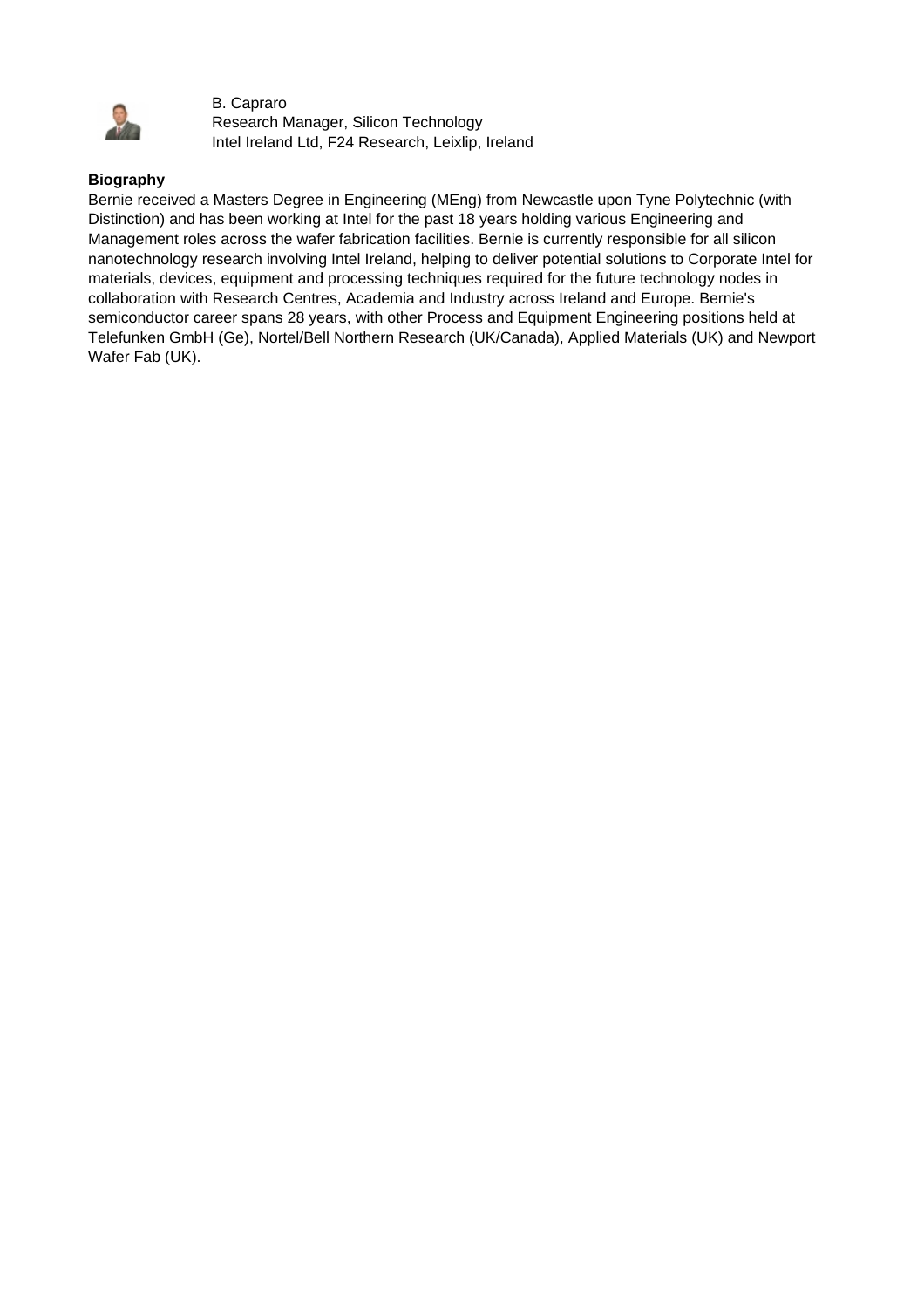

B. Capraro Research Manager, Silicon Technology Intel Ireland Ltd, F24 Research, Leixlip, Ireland

# **Biography**

Bernie received a Masters Degree in Engineering (MEng) from Newcastle upon Tyne Polytechnic (with Distinction) and has been working at Intel for the past 18 years holding various Engineering and Management roles across the wafer fabrication facilities. Bernie is currently responsible for all silicon nanotechnology research involving Intel Ireland, helping to deliver potential solutions to Corporate Intel for materials, devices, equipment and processing techniques required for the future technology nodes in collaboration with Research Centres, Academia and Industry across Ireland and Europe. Bernie's semiconductor career spans 28 years, with other Process and Equipment Engineering positions held at Telefunken GmbH (Ge), Nortel/Bell Northern Research (UK/Canada), Applied Materials (UK) and Newport Wafer Fab (UK).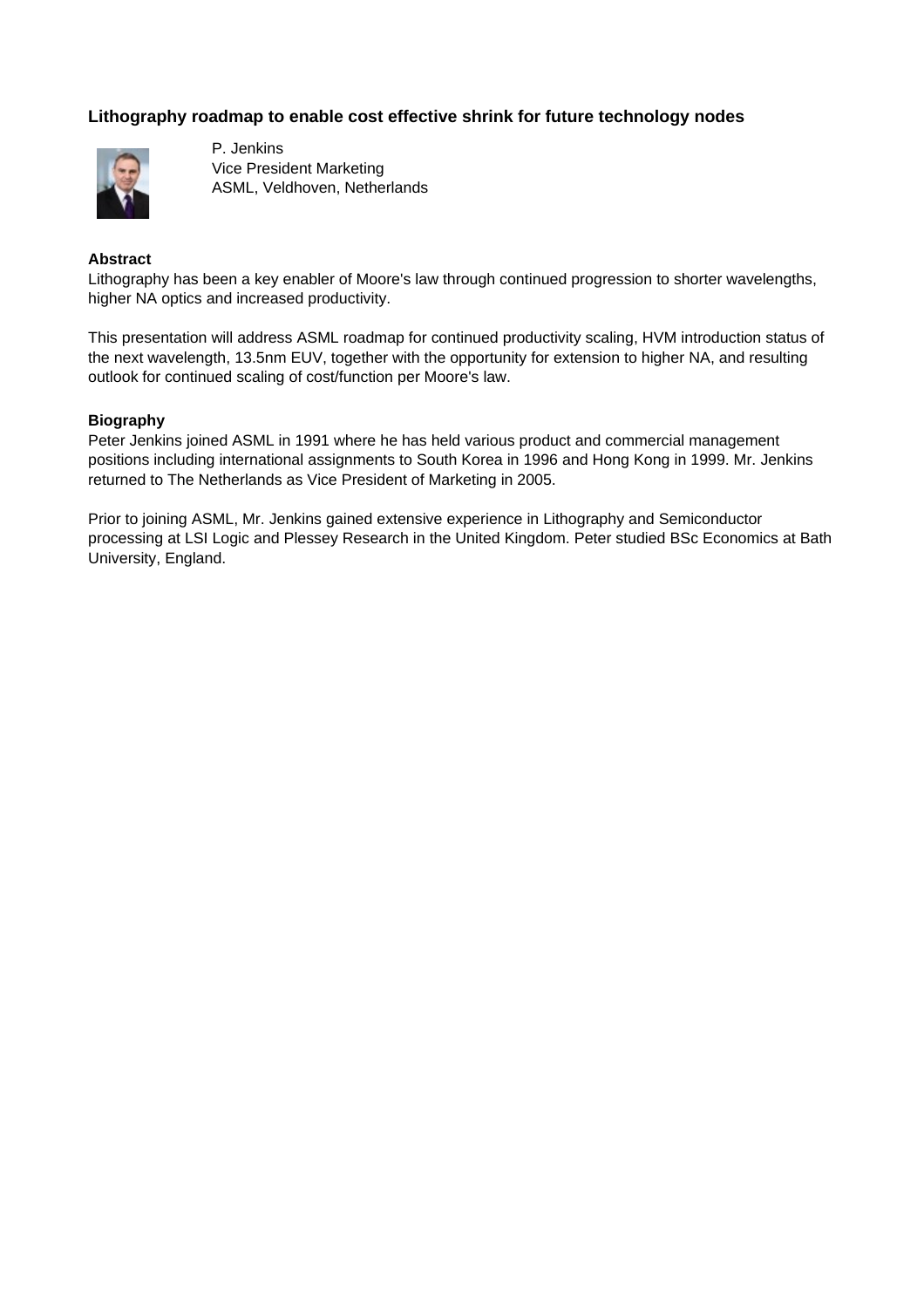# **Lithography roadmap to enable cost effective shrink for future technology nodes**



P. Jenkins Vice President Marketing ASML, Veldhoven, Netherlands

## **Abstract**

Lithography has been a key enabler of Moore's law through continued progression to shorter wavelengths, higher NA optics and increased productivity.

This presentation will address ASML roadmap for continued productivity scaling, HVM introduction status of the next wavelength, 13.5nm EUV, together with the opportunity for extension to higher NA, and resulting outlook for continued scaling of cost/function per Moore's law.

#### **Biography**

Peter Jenkins joined ASML in 1991 where he has held various product and commercial management positions including international assignments to South Korea in 1996 and Hong Kong in 1999. Mr. Jenkins returned to The Netherlands as Vice President of Marketing in 2005.

Prior to joining ASML, Mr. Jenkins gained extensive experience in Lithography and Semiconductor processing at LSI Logic and Plessey Research in the United Kingdom. Peter studied BSc Economics at Bath University, England.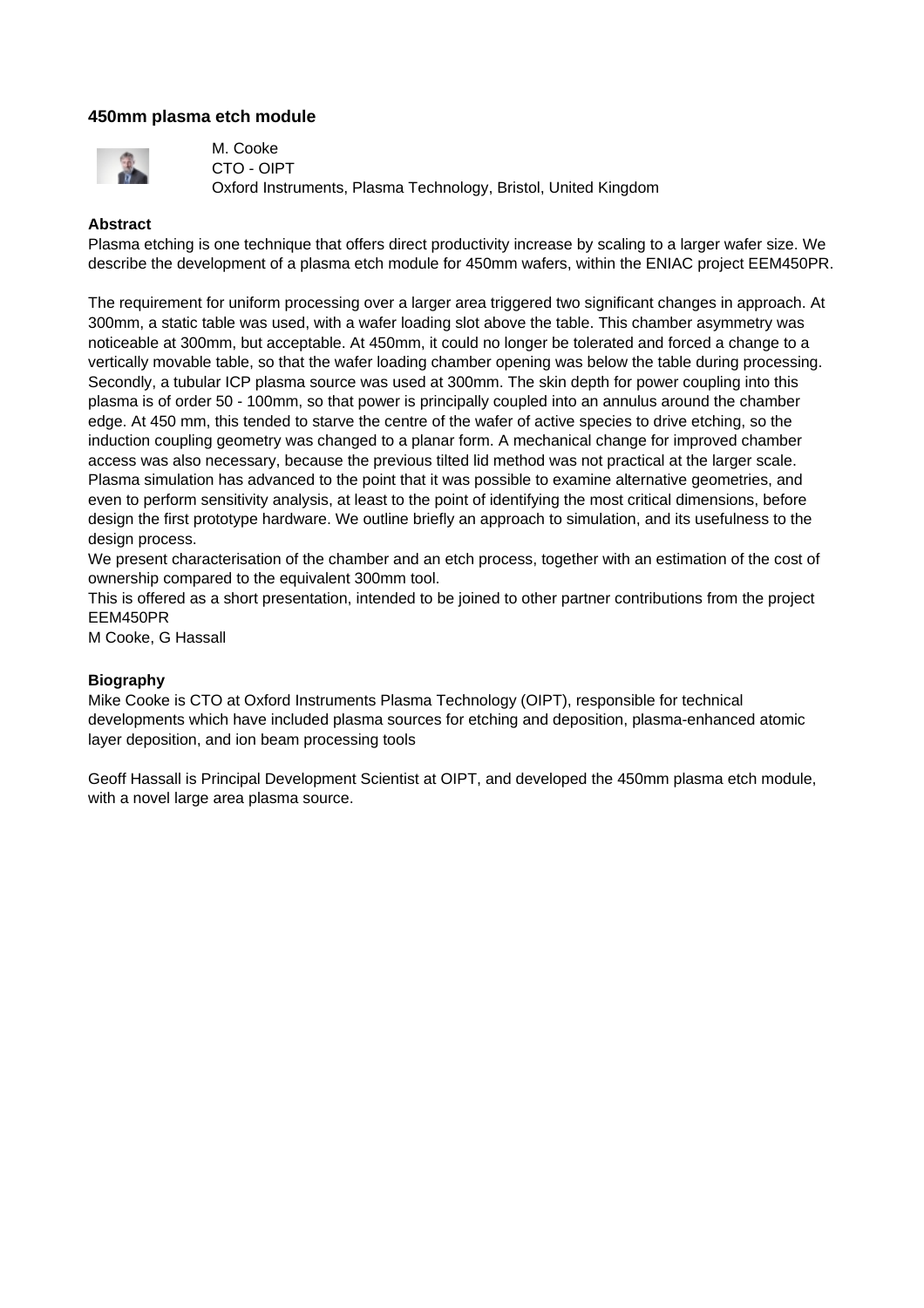## **450mm plasma etch module**



M. Cooke CTO - OIPT Oxford Instruments, Plasma Technology, Bristol, United Kingdom

#### **Abstract**

Plasma etching is one technique that offers direct productivity increase by scaling to a larger wafer size. We describe the development of a plasma etch module for 450mm wafers, within the ENIAC project EEM450PR.

The requirement for uniform processing over a larger area triggered two significant changes in approach. At 300mm, a static table was used, with a wafer loading slot above the table. This chamber asymmetry was noticeable at 300mm, but acceptable. At 450mm, it could no longer be tolerated and forced a change to a vertically movable table, so that the wafer loading chamber opening was below the table during processing. Secondly, a tubular ICP plasma source was used at 300mm. The skin depth for power coupling into this plasma is of order 50 - 100mm, so that power is principally coupled into an annulus around the chamber edge. At 450 mm, this tended to starve the centre of the wafer of active species to drive etching, so the induction coupling geometry was changed to a planar form. A mechanical change for improved chamber access was also necessary, because the previous tilted lid method was not practical at the larger scale. Plasma simulation has advanced to the point that it was possible to examine alternative geometries, and even to perform sensitivity analysis, at least to the point of identifying the most critical dimensions, before design the first prototype hardware. We outline briefly an approach to simulation, and its usefulness to the design process.

We present characterisation of the chamber and an etch process, together with an estimation of the cost of ownership compared to the equivalent 300mm tool.

This is offered as a short presentation, intended to be joined to other partner contributions from the project EEM450PR

M Cooke, G Hassall

## **Biography**

Mike Cooke is CTO at Oxford Instruments Plasma Technology (OIPT), responsible for technical developments which have included plasma sources for etching and deposition, plasma-enhanced atomic layer deposition, and ion beam processing tools

Geoff Hassall is Principal Development Scientist at OIPT, and developed the 450mm plasma etch module, with a novel large area plasma source.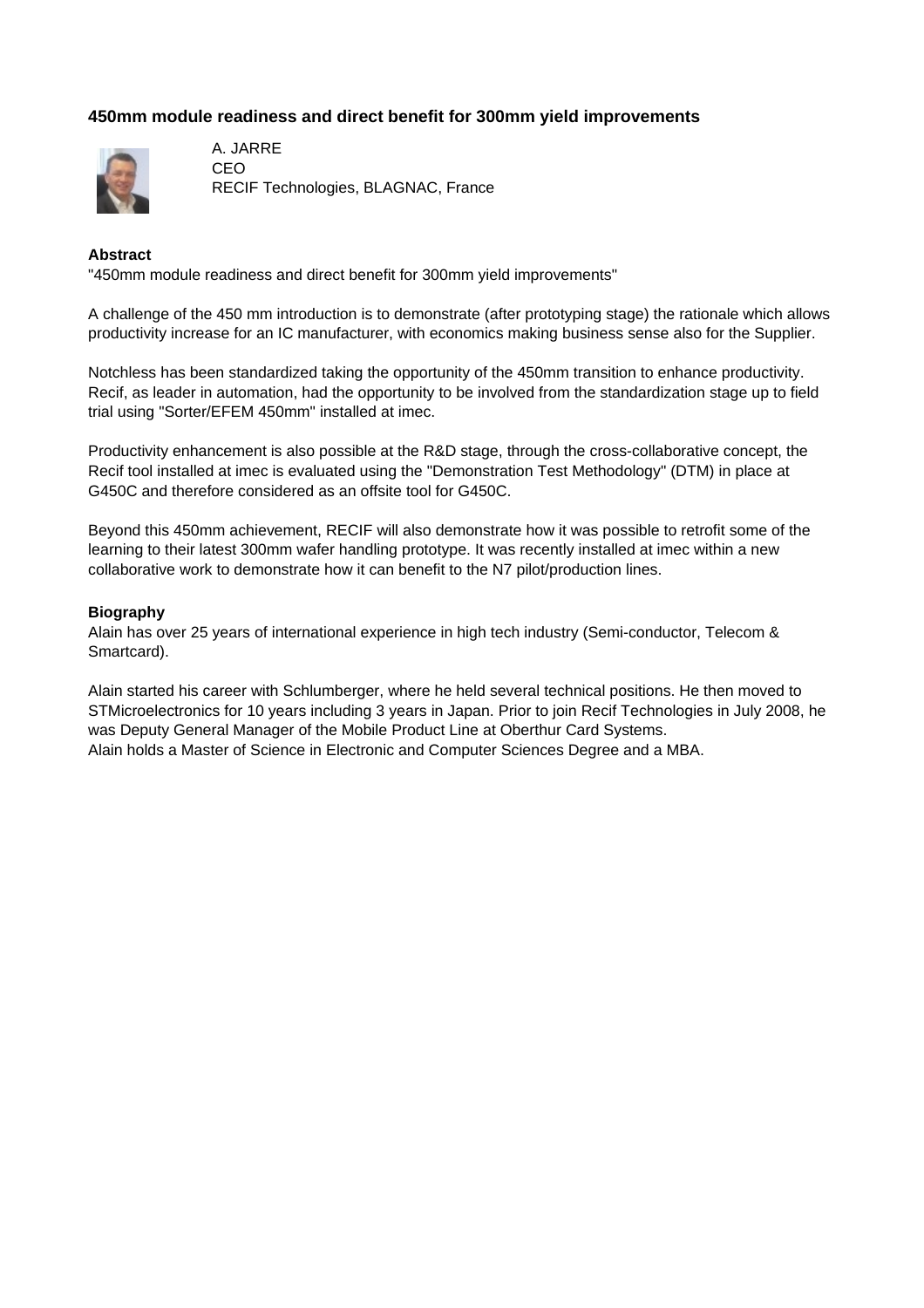# **450mm module readiness and direct benefit for 300mm yield improvements**



A. JARRE CEO RECIF Technologies, BLAGNAC, France

#### **Abstract**

"450mm module readiness and direct benefit for 300mm yield improvements"

A challenge of the 450 mm introduction is to demonstrate (after prototyping stage) the rationale which allows productivity increase for an IC manufacturer, with economics making business sense also for the Supplier.

Notchless has been standardized taking the opportunity of the 450mm transition to enhance productivity. Recif, as leader in automation, had the opportunity to be involved from the standardization stage up to field trial using "Sorter/EFEM 450mm" installed at imec.

Productivity enhancement is also possible at the R&D stage, through the cross-collaborative concept, the Recif tool installed at imec is evaluated using the "Demonstration Test Methodology" (DTM) in place at G450C and therefore considered as an offsite tool for G450C.

Beyond this 450mm achievement, RECIF will also demonstrate how it was possible to retrofit some of the learning to their latest 300mm wafer handling prototype. It was recently installed at imec within a new collaborative work to demonstrate how it can benefit to the N7 pilot/production lines.

#### **Biography**

Alain has over 25 years of international experience in high tech industry (Semi-conductor, Telecom & Smartcard).

Alain started his career with Schlumberger, where he held several technical positions. He then moved to STMicroelectronics for 10 years including 3 years in Japan. Prior to join Recif Technologies in July 2008, he was Deputy General Manager of the Mobile Product Line at Oberthur Card Systems. Alain holds a Master of Science in Electronic and Computer Sciences Degree and a MBA.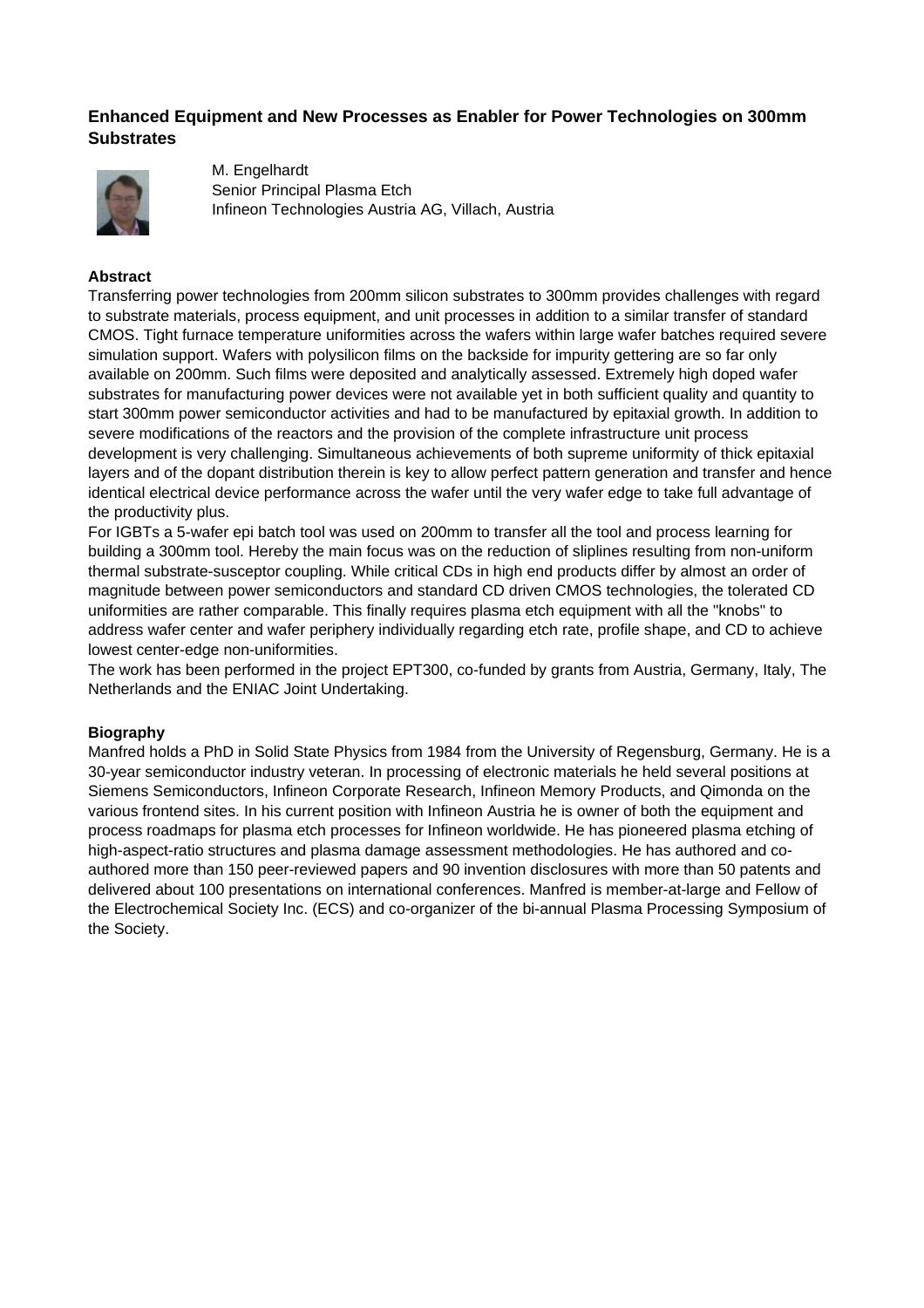# **Enhanced Equipment and New Processes as Enabler for Power Technologies on 300mm Substrates**



M. Engelhardt Senior Principal Plasma Etch Infineon Technologies Austria AG, Villach, Austria

#### **Abstract**

Transferring power technologies from 200mm silicon substrates to 300mm provides challenges with regard to substrate materials, process equipment, and unit processes in addition to a similar transfer of standard CMOS. Tight furnace temperature uniformities across the wafers within large wafer batches required severe simulation support. Wafers with polysilicon films on the backside for impurity gettering are so far only available on 200mm. Such films were deposited and analytically assessed. Extremely high doped wafer substrates for manufacturing power devices were not available yet in both sufficient quality and quantity to start 300mm power semiconductor activities and had to be manufactured by epitaxial growth. In addition to severe modifications of the reactors and the provision of the complete infrastructure unit process development is very challenging. Simultaneous achievements of both supreme uniformity of thick epitaxial layers and of the dopant distribution therein is key to allow perfect pattern generation and transfer and hence identical electrical device performance across the wafer until the very wafer edge to take full advantage of the productivity plus.

For IGBTs a 5-wafer epi batch tool was used on 200mm to transfer all the tool and process learning for building a 300mm tool. Hereby the main focus was on the reduction of sliplines resulting from non-uniform thermal substrate-susceptor coupling. While critical CDs in high end products differ by almost an order of magnitude between power semiconductors and standard CD driven CMOS technologies, the tolerated CD uniformities are rather comparable. This finally requires plasma etch equipment with all the "knobs" to address wafer center and wafer periphery individually regarding etch rate, profile shape, and CD to achieve lowest center-edge non-uniformities.

The work has been performed in the project EPT300, co-funded by grants from Austria, Germany, Italy, The Netherlands and the ENIAC Joint Undertaking.

## **Biography**

Manfred holds a PhD in Solid State Physics from 1984 from the University of Regensburg, Germany. He is a 30-year semiconductor industry veteran. In processing of electronic materials he held several positions at Siemens Semiconductors, Infineon Corporate Research, Infineon Memory Products, and Qimonda on the various frontend sites. In his current position with Infineon Austria he is owner of both the equipment and process roadmaps for plasma etch processes for Infineon worldwide. He has pioneered plasma etching of high-aspect-ratio structures and plasma damage assessment methodologies. He has authored and coauthored more than 150 peer-reviewed papers and 90 invention disclosures with more than 50 patents and delivered about 100 presentations on international conferences. Manfred is member-at-large and Fellow of the Electrochemical Society Inc. (ECS) and co-organizer of the bi-annual Plasma Processing Symposium of the Society.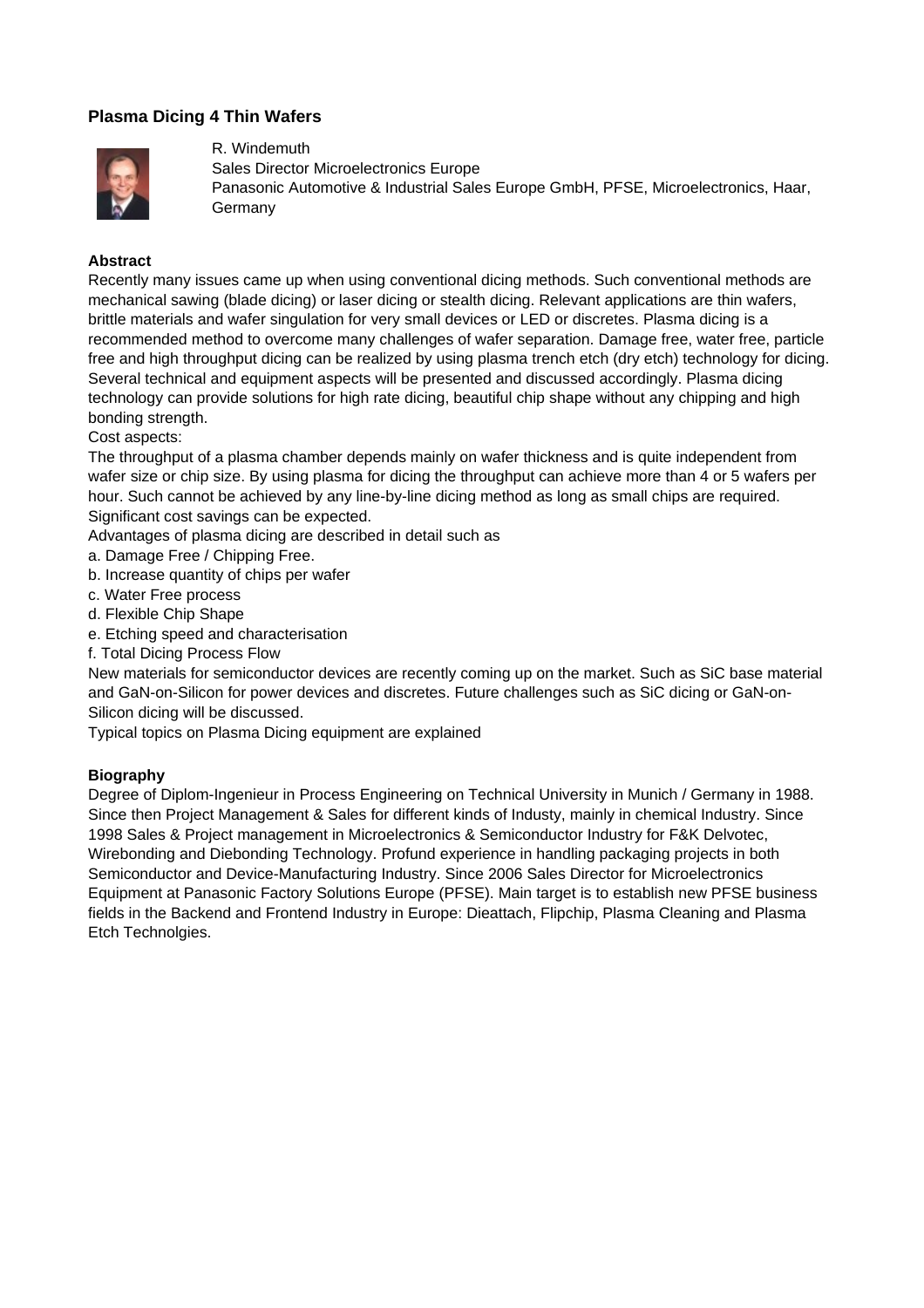# **Plasma Dicing 4 Thin Wafers**



# R. Windemuth

Sales Director Microelectronics Europe

Panasonic Automotive & Industrial Sales Europe GmbH, PFSE, Microelectronics, Haar, Germany

## **Abstract**

Recently many issues came up when using conventional dicing methods. Such conventional methods are mechanical sawing (blade dicing) or laser dicing or stealth dicing. Relevant applications are thin wafers, brittle materials and wafer singulation for very small devices or LED or discretes. Plasma dicing is a recommended method to overcome many challenges of wafer separation. Damage free, water free, particle free and high throughput dicing can be realized by using plasma trench etch (dry etch) technology for dicing. Several technical and equipment aspects will be presented and discussed accordingly. Plasma dicing technology can provide solutions for high rate dicing, beautiful chip shape without any chipping and high bonding strength.

Cost aspects:

The throughput of a plasma chamber depends mainly on wafer thickness and is quite independent from wafer size or chip size. By using plasma for dicing the throughput can achieve more than 4 or 5 wafers per hour. Such cannot be achieved by any line-by-line dicing method as long as small chips are required. Significant cost savings can be expected.

Advantages of plasma dicing are described in detail such as

- a. Damage Free / Chipping Free.
- b. Increase quantity of chips per wafer
- c. Water Free process
- d. Flexible Chip Shape
- e. Etching speed and characterisation
- f. Total Dicing Process Flow

New materials for semiconductor devices are recently coming up on the market. Such as SiC base material and GaN-on-Silicon for power devices and discretes. Future challenges such as SiC dicing or GaN-on-Silicon dicing will be discussed.

Typical topics on Plasma Dicing equipment are explained

# **Biography**

Degree of Diplom-Ingenieur in Process Engineering on Technical University in Munich / Germany in 1988. Since then Project Management & Sales for different kinds of Industy, mainly in chemical Industry. Since 1998 Sales & Project management in Microelectronics & Semiconductor Industry for F&K Delvotec, Wirebonding and Diebonding Technology. Profund experience in handling packaging projects in both Semiconductor and Device-Manufacturing Industry. Since 2006 Sales Director for Microelectronics Equipment at Panasonic Factory Solutions Europe (PFSE). Main target is to establish new PFSE business fields in the Backend and Frontend Industry in Europe: Dieattach, Flipchip, Plasma Cleaning and Plasma Etch Technolgies.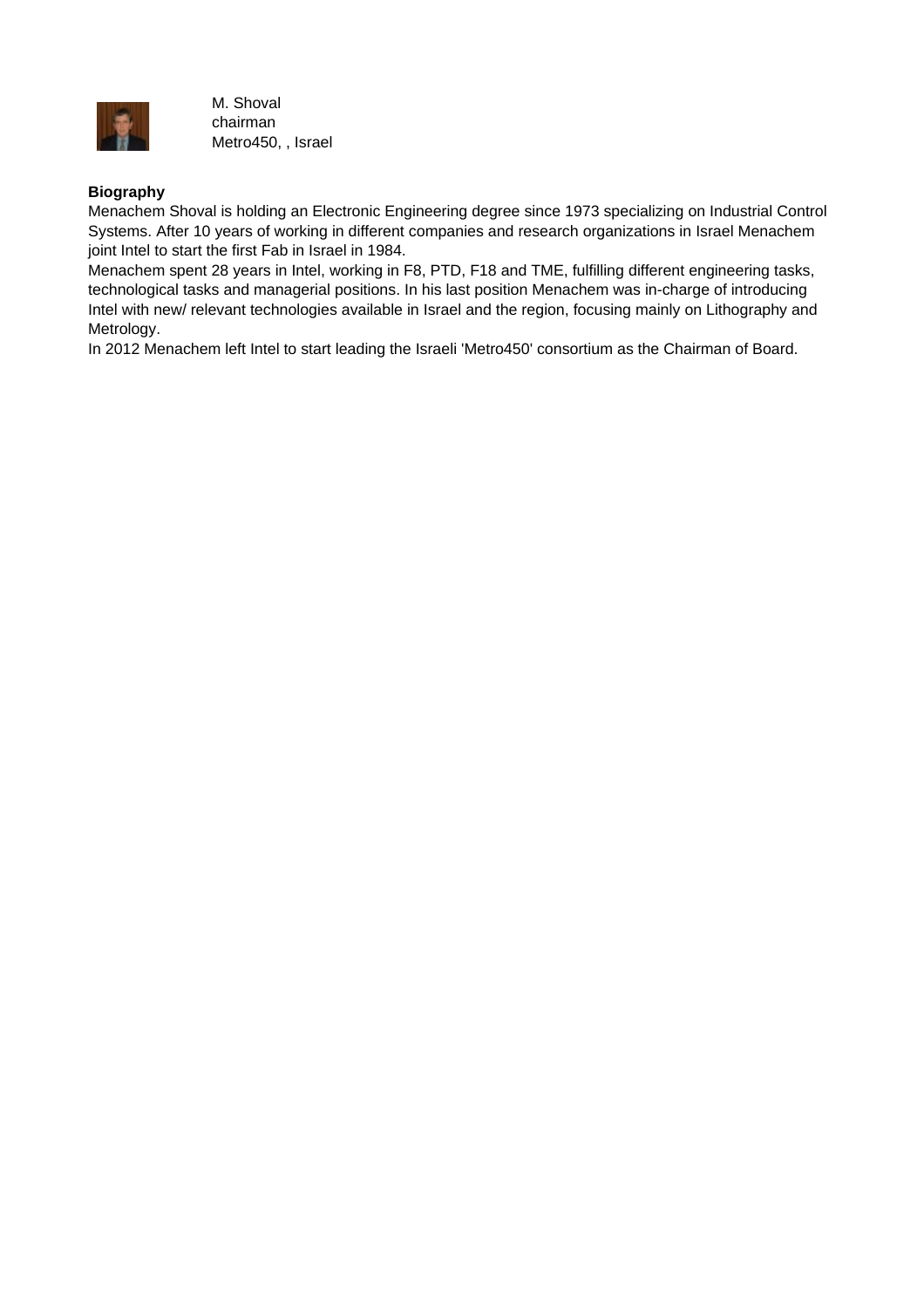

M. Shoval chairman Metro450, , Israel

## **Biography**

Menachem Shoval is holding an Electronic Engineering degree since 1973 specializing on Industrial Control Systems. After 10 years of working in different companies and research organizations in Israel Menachem joint Intel to start the first Fab in Israel in 1984.

Menachem spent 28 years in Intel, working in F8, PTD, F18 and TME, fulfilling different engineering tasks, technological tasks and managerial positions. In his last position Menachem was in-charge of introducing Intel with new/ relevant technologies available in Israel and the region, focusing mainly on Lithography and Metrology.

In 2012 Menachem left Intel to start leading the Israeli 'Metro450' consortium as the Chairman of Board.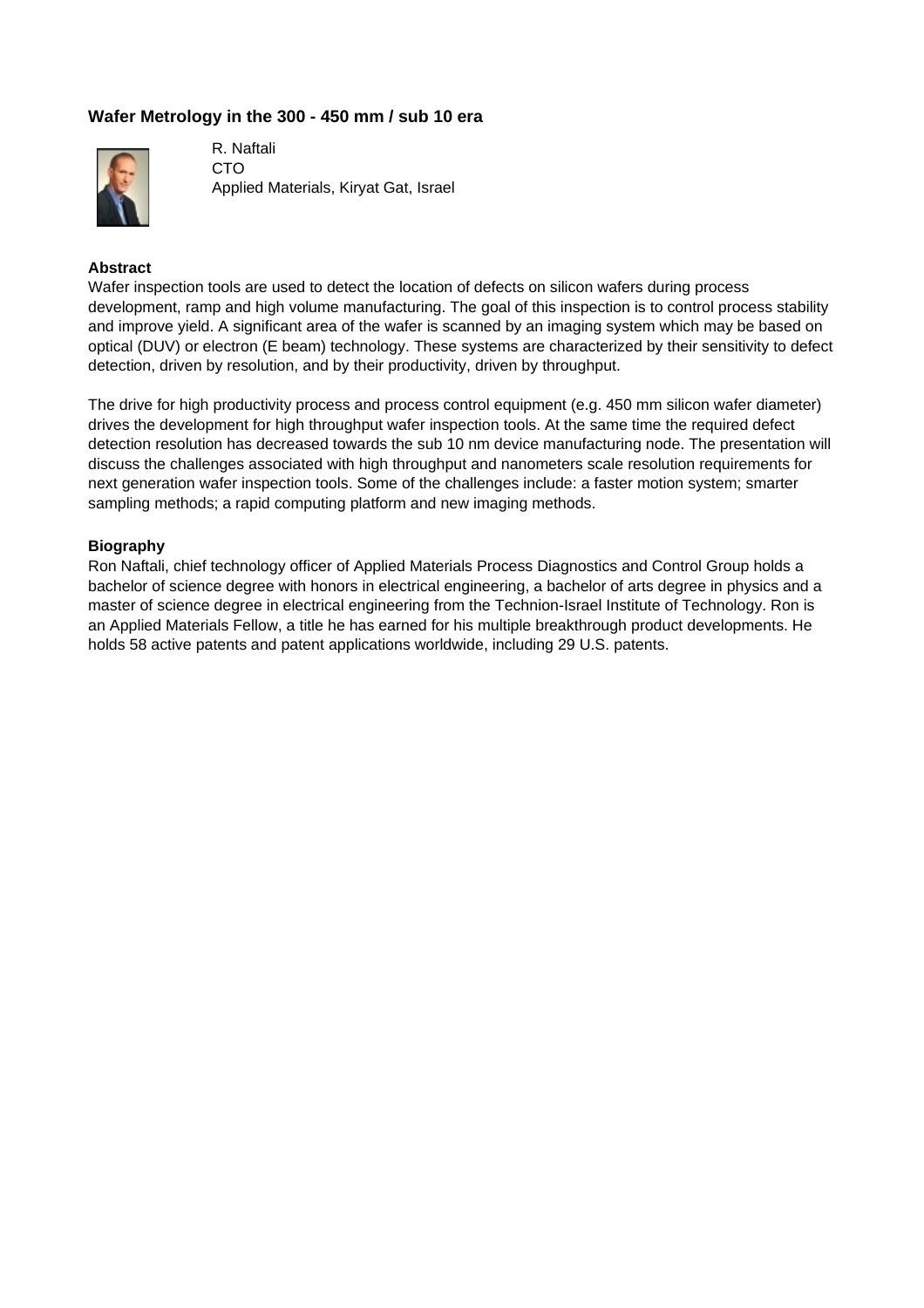# **Wafer Metrology in the 300 - 450 mm / sub 10 era**



R. Naftali CTO Applied Materials, Kiryat Gat, Israel

## **Abstract**

Wafer inspection tools are used to detect the location of defects on silicon wafers during process development, ramp and high volume manufacturing. The goal of this inspection is to control process stability and improve yield. A significant area of the wafer is scanned by an imaging system which may be based on optical (DUV) or electron (E beam) technology. These systems are characterized by their sensitivity to defect detection, driven by resolution, and by their productivity, driven by throughput.

The drive for high productivity process and process control equipment (e.g. 450 mm silicon wafer diameter) drives the development for high throughput wafer inspection tools. At the same time the required defect detection resolution has decreased towards the sub 10 nm device manufacturing node. The presentation will discuss the challenges associated with high throughput and nanometers scale resolution requirements for next generation wafer inspection tools. Some of the challenges include: a faster motion system; smarter sampling methods; a rapid computing platform and new imaging methods.

#### **Biography**

Ron Naftali, chief technology officer of Applied Materials Process Diagnostics and Control Group holds a bachelor of science degree with honors in electrical engineering, a bachelor of arts degree in physics and a master of science degree in electrical engineering from the Technion-Israel Institute of Technology. Ron is an Applied Materials Fellow, a title he has earned for his multiple breakthrough product developments. He holds 58 active patents and patent applications worldwide, including 29 U.S. patents.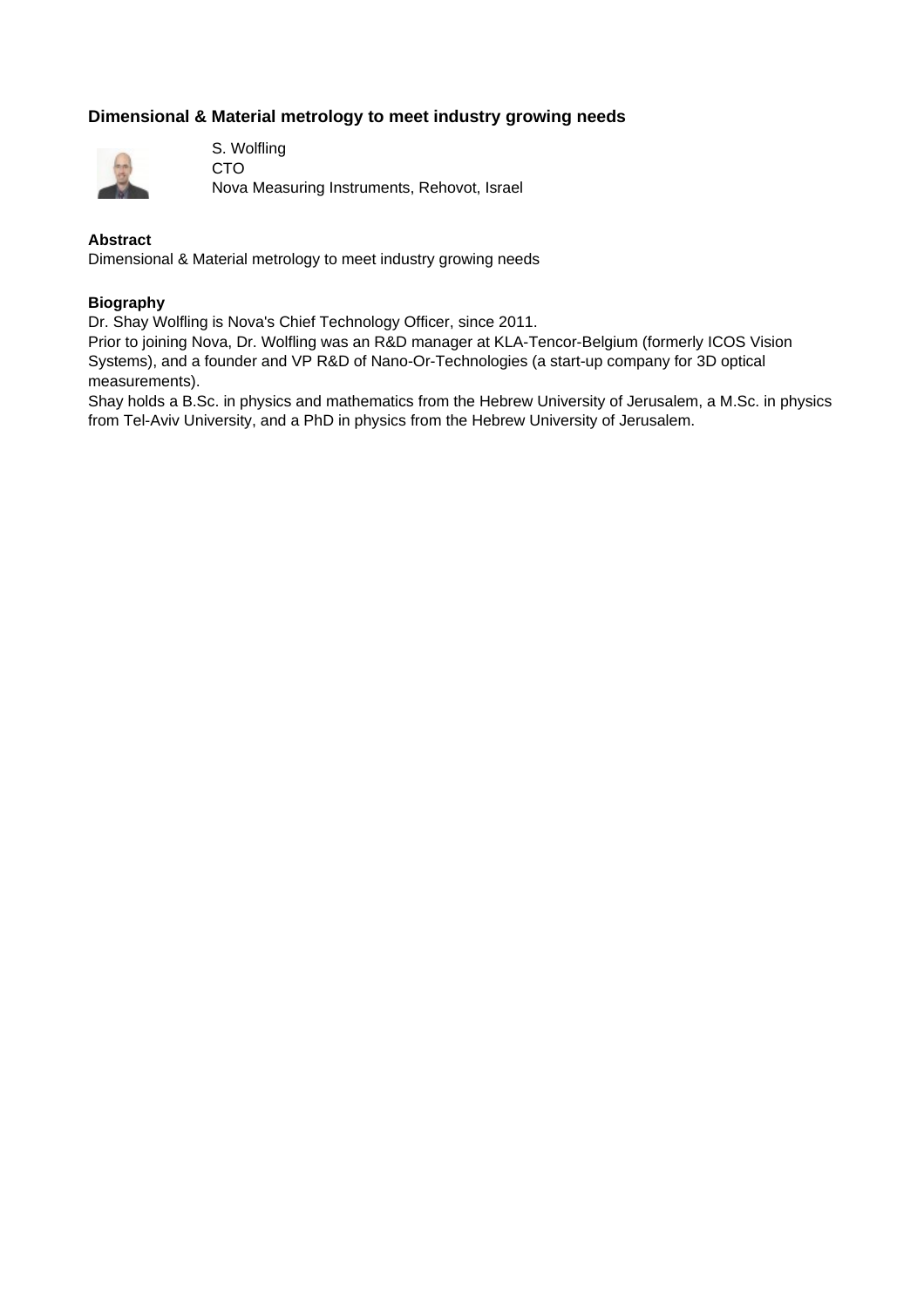# **Dimensional & Material metrology to meet industry growing needs**



S. Wolfling CTO Nova Measuring Instruments, Rehovot, Israel

#### **Abstract**

Dimensional & Material metrology to meet industry growing needs

#### **Biography**

Dr. Shay Wolfling is Nova's Chief Technology Officer, since 2011.

Prior to joining Nova, Dr. Wolfling was an R&D manager at KLA-Tencor-Belgium (formerly ICOS Vision Systems), and a founder and VP R&D of Nano-Or-Technologies (a start-up company for 3D optical measurements).

Shay holds a B.Sc. in physics and mathematics from the Hebrew University of Jerusalem, a M.Sc. in physics from Tel-Aviv University, and a PhD in physics from the Hebrew University of Jerusalem.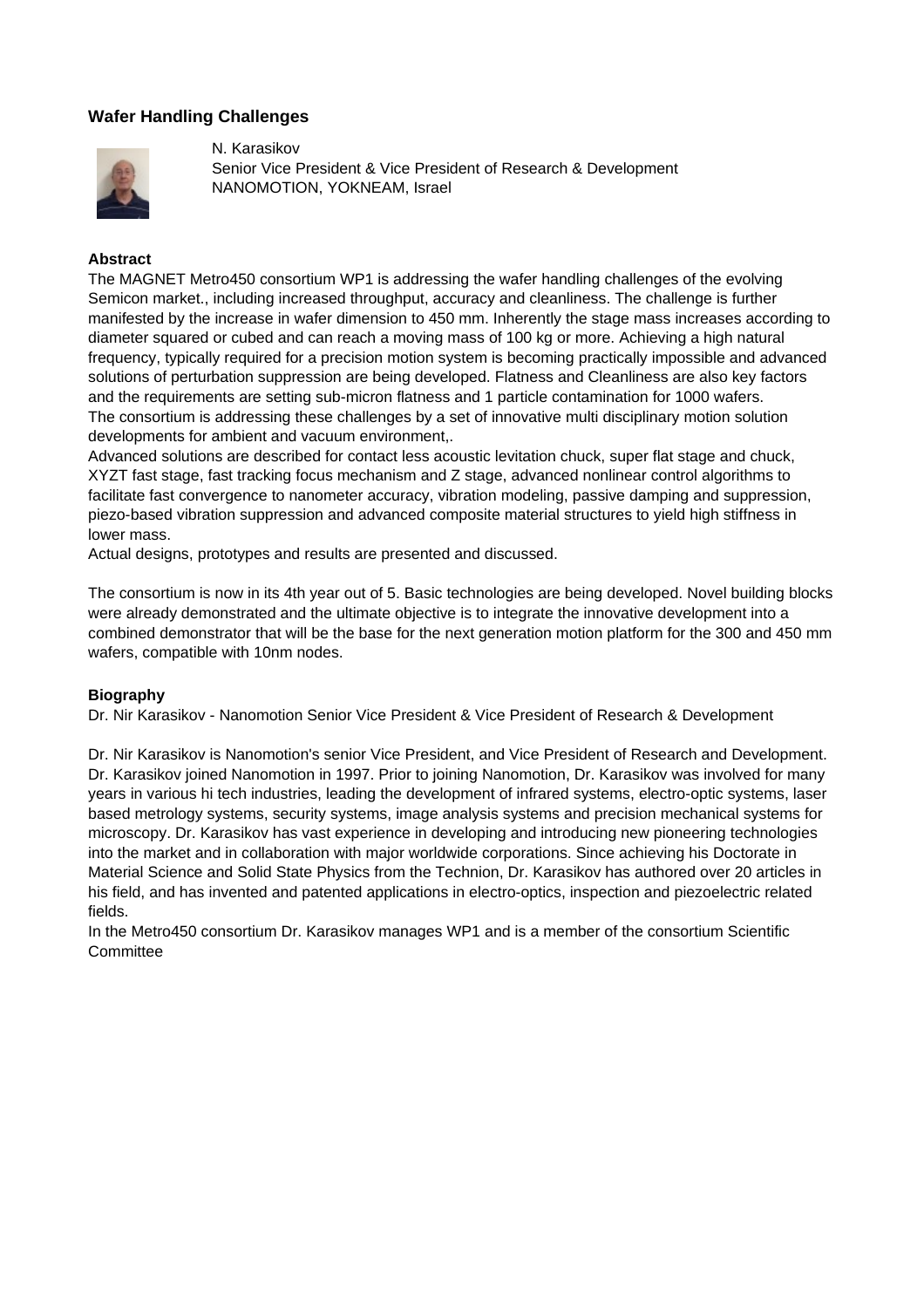# **Wafer Handling Challenges**



N. Karasikov Senior Vice President & Vice President of Research & Development NANOMOTION, YOKNEAM, Israel

#### **Abstract**

The MAGNET Metro450 consortium WP1 is addressing the wafer handling challenges of the evolving Semicon market., including increased throughput, accuracy and cleanliness. The challenge is further manifested by the increase in wafer dimension to 450 mm. Inherently the stage mass increases according to diameter squared or cubed and can reach a moving mass of 100 kg or more. Achieving a high natural frequency, typically required for a precision motion system is becoming practically impossible and advanced solutions of perturbation suppression are being developed. Flatness and Cleanliness are also key factors and the requirements are setting sub-micron flatness and 1 particle contamination for 1000 wafers. The consortium is addressing these challenges by a set of innovative multi disciplinary motion solution developments for ambient and vacuum environment,.

Advanced solutions are described for contact less acoustic levitation chuck, super flat stage and chuck, XYZT fast stage, fast tracking focus mechanism and Z stage, advanced nonlinear control algorithms to facilitate fast convergence to nanometer accuracy, vibration modeling, passive damping and suppression, piezo-based vibration suppression and advanced composite material structures to yield high stiffness in lower mass.

Actual designs, prototypes and results are presented and discussed.

The consortium is now in its 4th year out of 5. Basic technologies are being developed. Novel building blocks were already demonstrated and the ultimate objective is to integrate the innovative development into a combined demonstrator that will be the base for the next generation motion platform for the 300 and 450 mm wafers, compatible with 10nm nodes.

#### **Biography**

Dr. Nir Karasikov - Nanomotion Senior Vice President & Vice President of Research & Development

Dr. Nir Karasikov is Nanomotion's senior Vice President, and Vice President of Research and Development. Dr. Karasikov joined Nanomotion in 1997. Prior to joining Nanomotion, Dr. Karasikov was involved for many years in various hi tech industries, leading the development of infrared systems, electro-optic systems, laser based metrology systems, security systems, image analysis systems and precision mechanical systems for microscopy. Dr. Karasikov has vast experience in developing and introducing new pioneering technologies into the market and in collaboration with major worldwide corporations. Since achieving his Doctorate in Material Science and Solid State Physics from the Technion, Dr. Karasikov has authored over 20 articles in his field, and has invented and patented applications in electro-optics, inspection and piezoelectric related fields.

In the Metro450 consortium Dr. Karasikov manages WP1 and is a member of the consortium Scientific **Committee**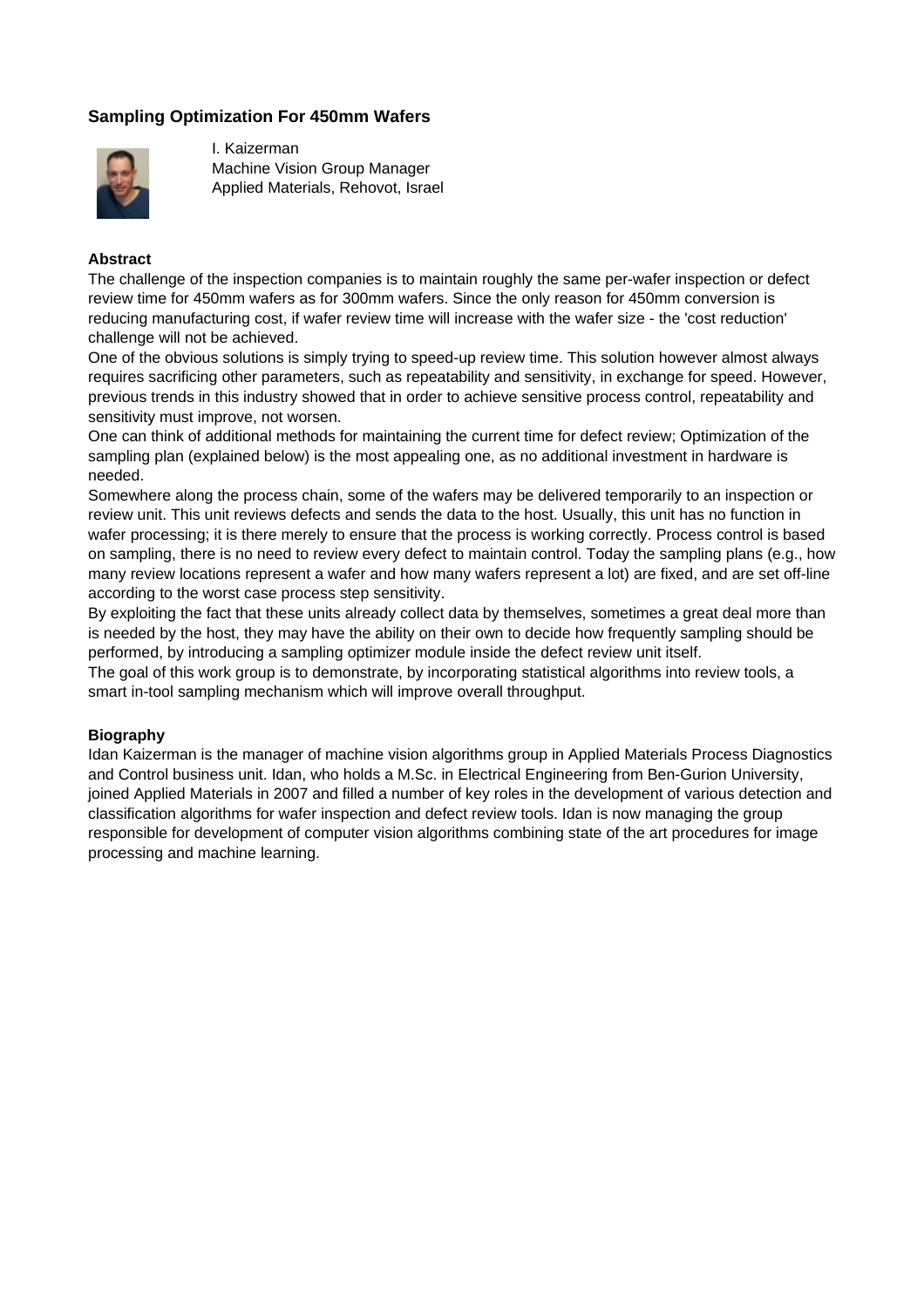# **Sampling Optimization For 450mm Wafers**



I. Kaizerman Machine Vision Group Manager Applied Materials, Rehovot, Israel

#### **Abstract**

The challenge of the inspection companies is to maintain roughly the same per-wafer inspection or defect review time for 450mm wafers as for 300mm wafers. Since the only reason for 450mm conversion is reducing manufacturing cost, if wafer review time will increase with the wafer size - the 'cost reduction' challenge will not be achieved.

One of the obvious solutions is simply trying to speed-up review time. This solution however almost always requires sacrificing other parameters, such as repeatability and sensitivity, in exchange for speed. However, previous trends in this industry showed that in order to achieve sensitive process control, repeatability and sensitivity must improve, not worsen.

One can think of additional methods for maintaining the current time for defect review; Optimization of the sampling plan (explained below) is the most appealing one, as no additional investment in hardware is needed.

Somewhere along the process chain, some of the wafers may be delivered temporarily to an inspection or review unit. This unit reviews defects and sends the data to the host. Usually, this unit has no function in wafer processing; it is there merely to ensure that the process is working correctly. Process control is based on sampling, there is no need to review every defect to maintain control. Today the sampling plans (e.g., how many review locations represent a wafer and how many wafers represent a lot) are fixed, and are set off-line according to the worst case process step sensitivity.

By exploiting the fact that these units already collect data by themselves, sometimes a great deal more than is needed by the host, they may have the ability on their own to decide how frequently sampling should be performed, by introducing a sampling optimizer module inside the defect review unit itself.

The goal of this work group is to demonstrate, by incorporating statistical algorithms into review tools, a smart in-tool sampling mechanism which will improve overall throughput.

## **Biography**

Idan Kaizerman is the manager of machine vision algorithms group in Applied Materials Process Diagnostics and Control business unit. Idan, who holds a M.Sc. in Electrical Engineering from Ben-Gurion University, joined Applied Materials in 2007 and filled a number of key roles in the development of various detection and classification algorithms for wafer inspection and defect review tools. Idan is now managing the group responsible for development of computer vision algorithms combining state of the art procedures for image processing and machine learning.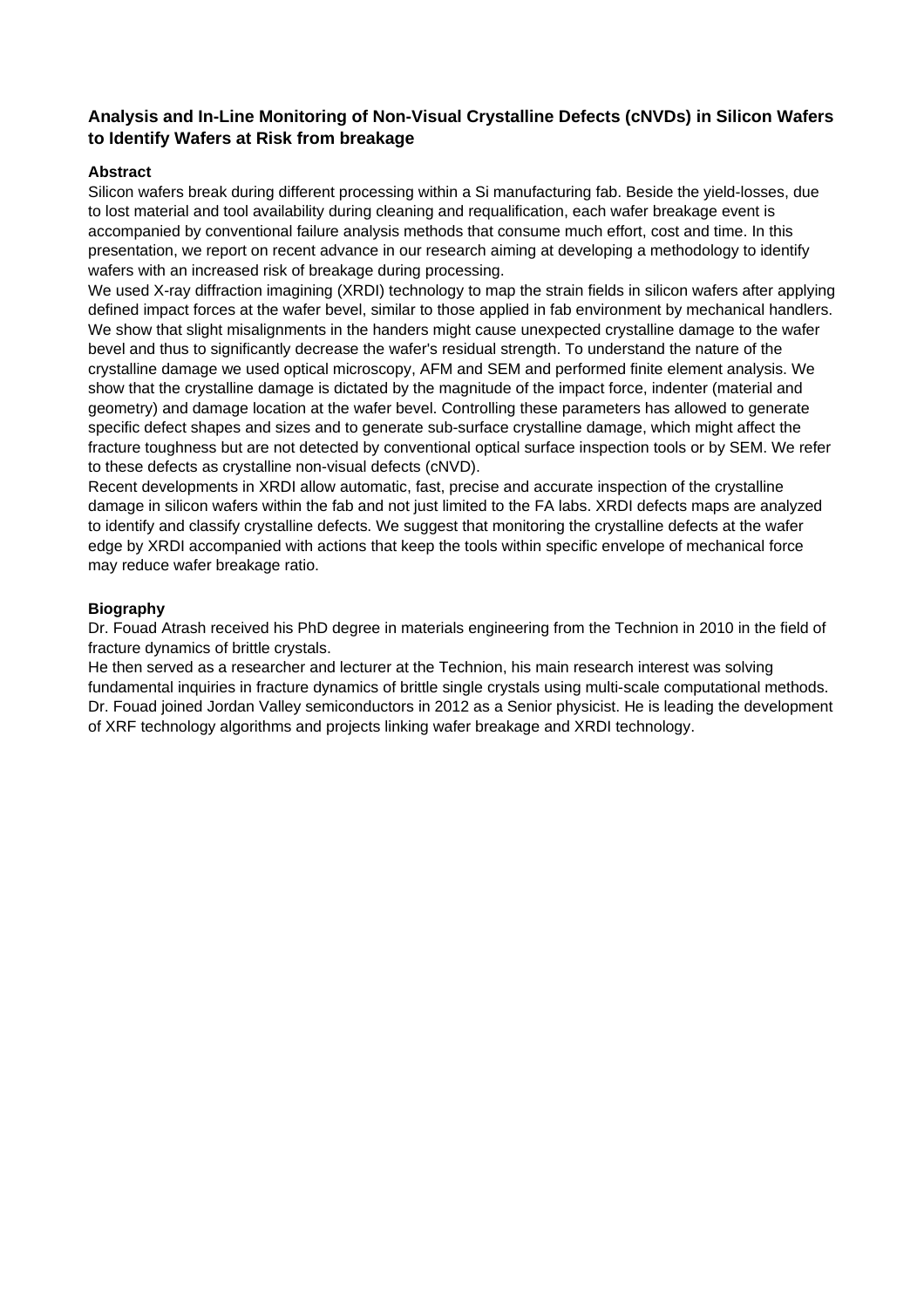# **Analysis and In-Line Monitoring of Non-Visual Crystalline Defects (cNVDs) in Silicon Wafers to Identify Wafers at Risk from breakage**

## **Abstract**

Silicon wafers break during different processing within a Si manufacturing fab. Beside the yield-losses, due to lost material and tool availability during cleaning and requalification, each wafer breakage event is accompanied by conventional failure analysis methods that consume much effort, cost and time. In this presentation, we report on recent advance in our research aiming at developing a methodology to identify wafers with an increased risk of breakage during processing.

We used X-ray diffraction imagining (XRDI) technology to map the strain fields in silicon wafers after applying defined impact forces at the wafer bevel, similar to those applied in fab environment by mechanical handlers. We show that slight misalignments in the handers might cause unexpected crystalline damage to the wafer bevel and thus to significantly decrease the wafer's residual strength. To understand the nature of the crystalline damage we used optical microscopy, AFM and SEM and performed finite element analysis. We show that the crystalline damage is dictated by the magnitude of the impact force, indenter (material and geometry) and damage location at the wafer bevel. Controlling these parameters has allowed to generate specific defect shapes and sizes and to generate sub-surface crystalline damage, which might affect the fracture toughness but are not detected by conventional optical surface inspection tools or by SEM. We refer to these defects as crystalline non-visual defects (cNVD).

Recent developments in XRDI allow automatic, fast, precise and accurate inspection of the crystalline damage in silicon wafers within the fab and not just limited to the FA labs. XRDI defects maps are analyzed to identify and classify crystalline defects. We suggest that monitoring the crystalline defects at the wafer edge by XRDI accompanied with actions that keep the tools within specific envelope of mechanical force may reduce wafer breakage ratio.

## **Biography**

Dr. Fouad Atrash received his PhD degree in materials engineering from the Technion in 2010 in the field of fracture dynamics of brittle crystals.

He then served as a researcher and lecturer at the Technion, his main research interest was solving fundamental inquiries in fracture dynamics of brittle single crystals using multi-scale computational methods. Dr. Fouad joined Jordan Valley semiconductors in 2012 as a Senior physicist. He is leading the development of XRF technology algorithms and projects linking wafer breakage and XRDI technology.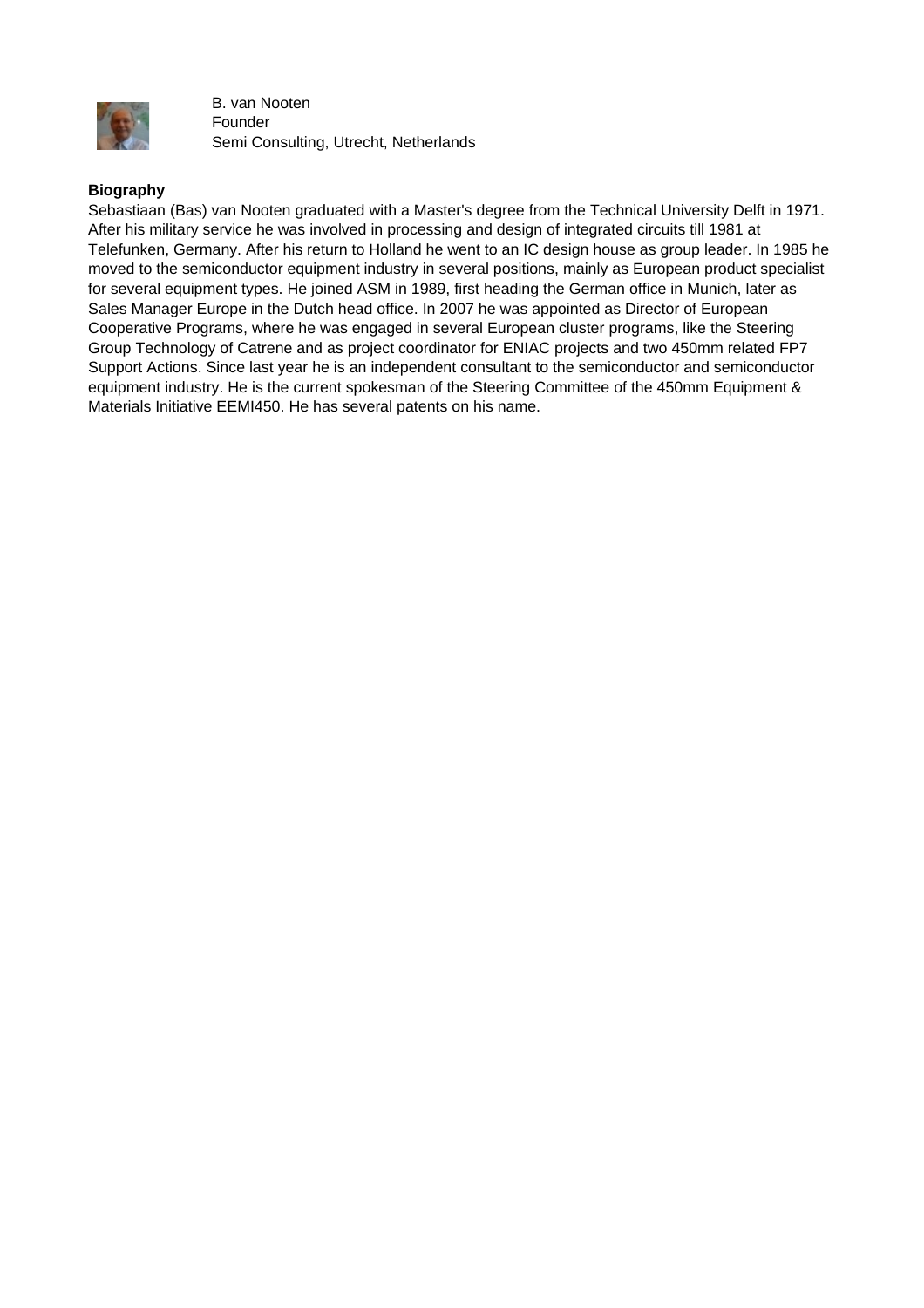

B. van Nooten Founder Semi Consulting, Utrecht, Netherlands

#### **Biography**

Sebastiaan (Bas) van Nooten graduated with a Master's degree from the Technical University Delft in 1971. After his military service he was involved in processing and design of integrated circuits till 1981 at Telefunken, Germany. After his return to Holland he went to an IC design house as group leader. In 1985 he moved to the semiconductor equipment industry in several positions, mainly as European product specialist for several equipment types. He joined ASM in 1989, first heading the German office in Munich, later as Sales Manager Europe in the Dutch head office. In 2007 he was appointed as Director of European Cooperative Programs, where he was engaged in several European cluster programs, like the Steering Group Technology of Catrene and as project coordinator for ENIAC projects and two 450mm related FP7 Support Actions. Since last year he is an independent consultant to the semiconductor and semiconductor equipment industry. He is the current spokesman of the Steering Committee of the 450mm Equipment & Materials Initiative EEMI450. He has several patents on his name.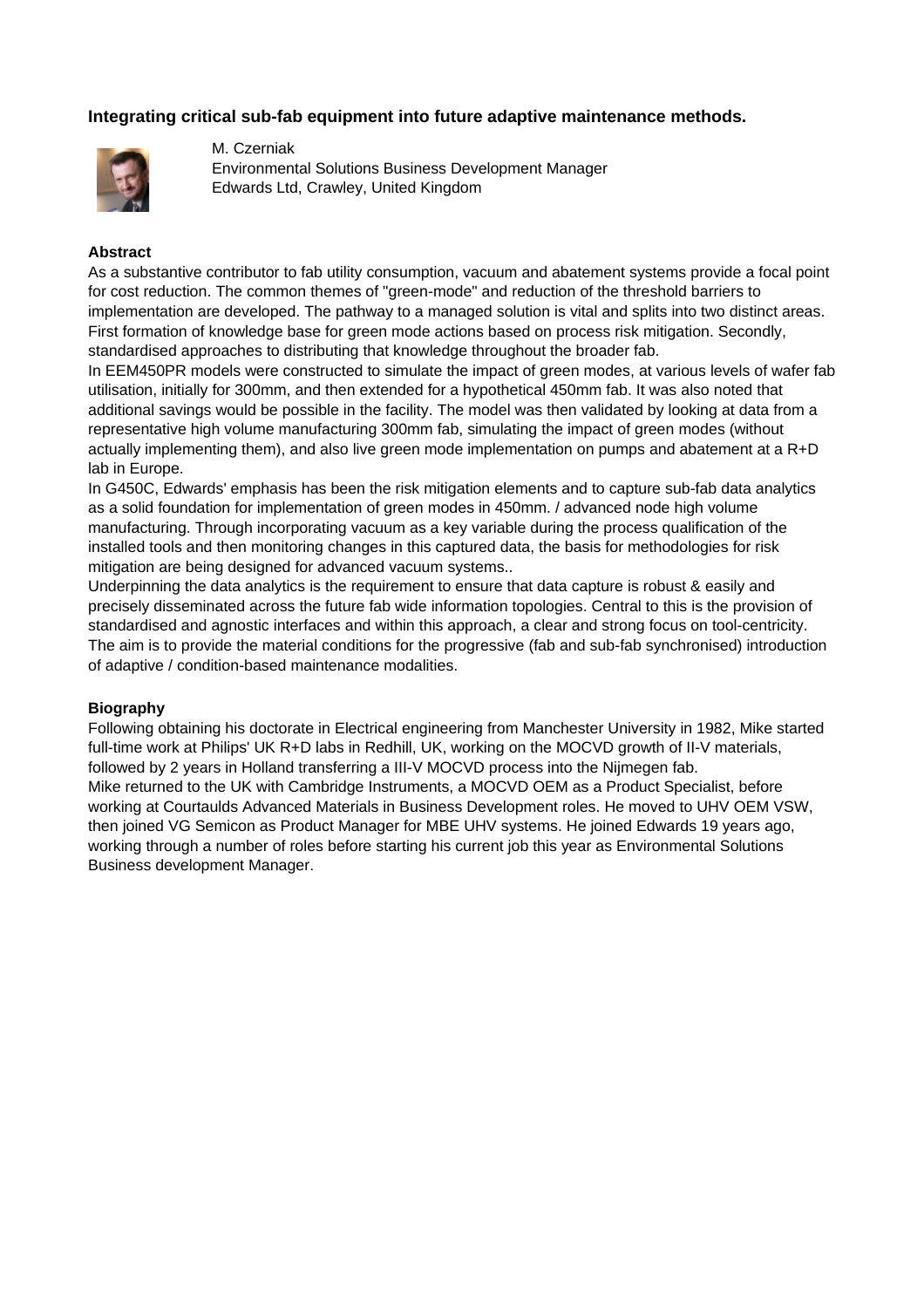# **Integrating critical sub-fab equipment into future adaptive maintenance methods.**



M. Czerniak Environmental Solutions Business Development Manager Edwards Ltd, Crawley, United Kingdom

#### **Abstract**

As a substantive contributor to fab utility consumption, vacuum and abatement systems provide a focal point for cost reduction. The common themes of "green-mode" and reduction of the threshold barriers to implementation are developed. The pathway to a managed solution is vital and splits into two distinct areas. First formation of knowledge base for green mode actions based on process risk mitigation. Secondly, standardised approaches to distributing that knowledge throughout the broader fab.

In EEM450PR models were constructed to simulate the impact of green modes, at various levels of wafer fab utilisation, initially for 300mm, and then extended for a hypothetical 450mm fab. It was also noted that additional savings would be possible in the facility. The model was then validated by looking at data from a representative high volume manufacturing 300mm fab, simulating the impact of green modes (without actually implementing them), and also live green mode implementation on pumps and abatement at a R+D lab in Europe.

In G450C, Edwards' emphasis has been the risk mitigation elements and to capture sub-fab data analytics as a solid foundation for implementation of green modes in 450mm. / advanced node high volume manufacturing. Through incorporating vacuum as a key variable during the process qualification of the installed tools and then monitoring changes in this captured data, the basis for methodologies for risk mitigation are being designed for advanced vacuum systems..

Underpinning the data analytics is the requirement to ensure that data capture is robust & easily and precisely disseminated across the future fab wide information topologies. Central to this is the provision of standardised and agnostic interfaces and within this approach, a clear and strong focus on tool-centricity. The aim is to provide the material conditions for the progressive (fab and sub-fab synchronised) introduction of adaptive / condition-based maintenance modalities.

#### **Biography**

Following obtaining his doctorate in Electrical engineering from Manchester University in 1982, Mike started full-time work at Philips' UK R+D labs in Redhill, UK, working on the MOCVD growth of II-V materials, followed by 2 years in Holland transferring a III-V MOCVD process into the Nijmegen fab. Mike returned to the UK with Cambridge Instruments, a MOCVD OEM as a Product Specialist, before working at Courtaulds Advanced Materials in Business Development roles. He moved to UHV OEM VSW, then joined VG Semicon as Product Manager for MBE UHV systems. He joined Edwards 19 years ago, working through a number of roles before starting his current job this year as Environmental Solutions Business development Manager.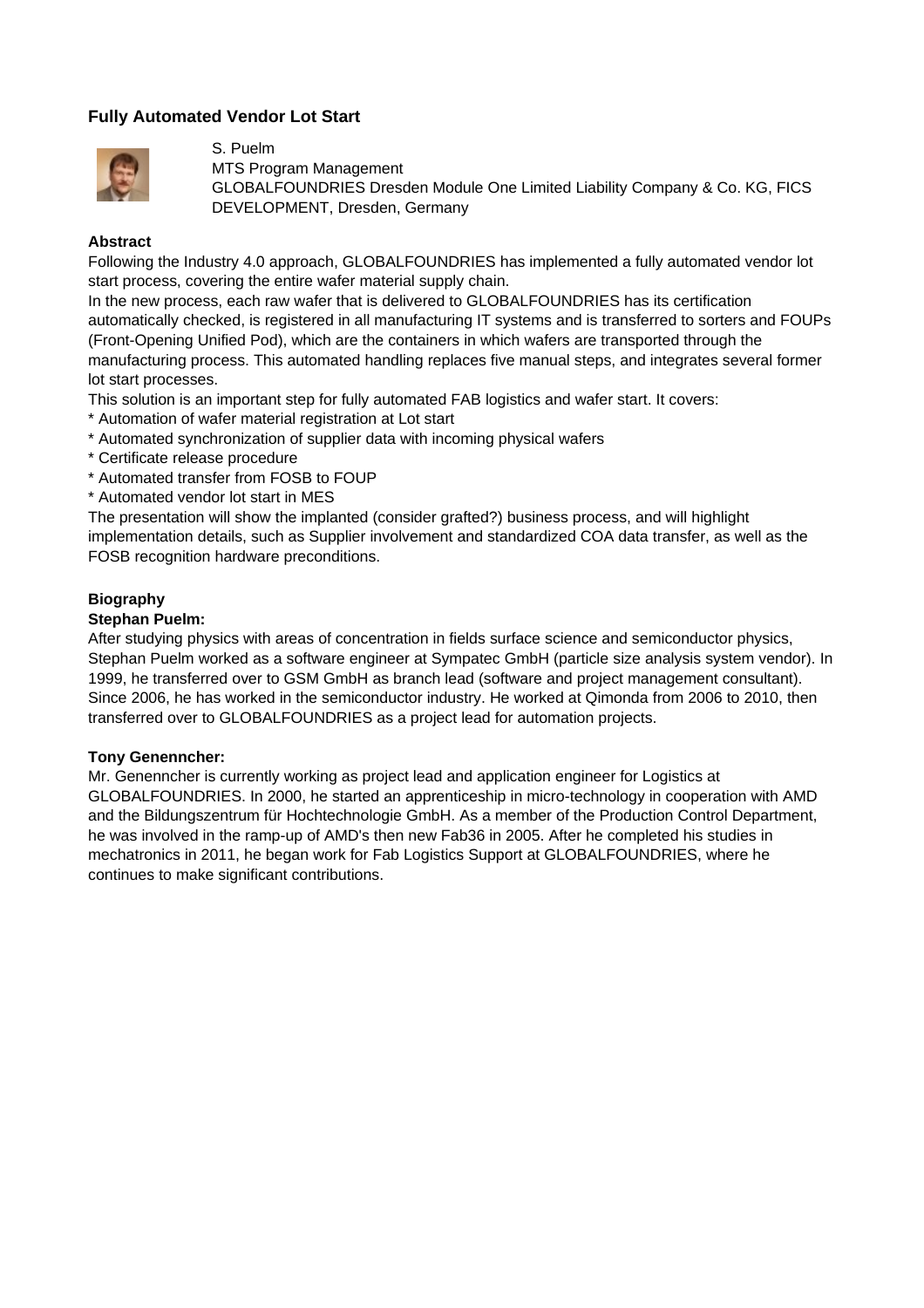# **Fully Automated Vendor Lot Start**



S. Puelm

MTS Program Management

GLOBALFOUNDRIES Dresden Module One Limited Liability Company & Co. KG, FICS DEVELOPMENT, Dresden, Germany

## **Abstract**

Following the Industry 4.0 approach, GLOBALFOUNDRIES has implemented a fully automated vendor lot start process, covering the entire wafer material supply chain.

In the new process, each raw wafer that is delivered to GLOBALFOUNDRIES has its certification automatically checked, is registered in all manufacturing IT systems and is transferred to sorters and FOUPs (Front-Opening Unified Pod), which are the containers in which wafers are transported through the manufacturing process. This automated handling replaces five manual steps, and integrates several former lot start processes.

This solution is an important step for fully automated FAB logistics and wafer start. It covers:

- \* Automation of wafer material registration at Lot start
- \* Automated synchronization of supplier data with incoming physical wafers
- \* Certificate release procedure
- \* Automated transfer from FOSB to FOUP
- \* Automated vendor lot start in MES

The presentation will show the implanted (consider grafted?) business process, and will highlight implementation details, such as Supplier involvement and standardized COA data transfer, as well as the FOSB recognition hardware preconditions.

## **Biography**

## **Stephan Puelm:**

After studying physics with areas of concentration in fields surface science and semiconductor physics, Stephan Puelm worked as a software engineer at Sympatec GmbH (particle size analysis system vendor). In 1999, he transferred over to GSM GmbH as branch lead (software and project management consultant). Since 2006, he has worked in the semiconductor industry. He worked at Qimonda from 2006 to 2010, then transferred over to GLOBALFOUNDRIES as a project lead for automation projects.

## **Tony Genenncher:**

Mr. Genenncher is currently working as project lead and application engineer for Logistics at GLOBALFOUNDRIES. In 2000, he started an apprenticeship in micro-technology in cooperation with AMD and the Bildungszentrum für Hochtechnologie GmbH. As a member of the Production Control Department, he was involved in the ramp-up of AMD's then new Fab36 in 2005. After he completed his studies in mechatronics in 2011, he began work for Fab Logistics Support at GLOBALFOUNDRIES, where he continues to make significant contributions.